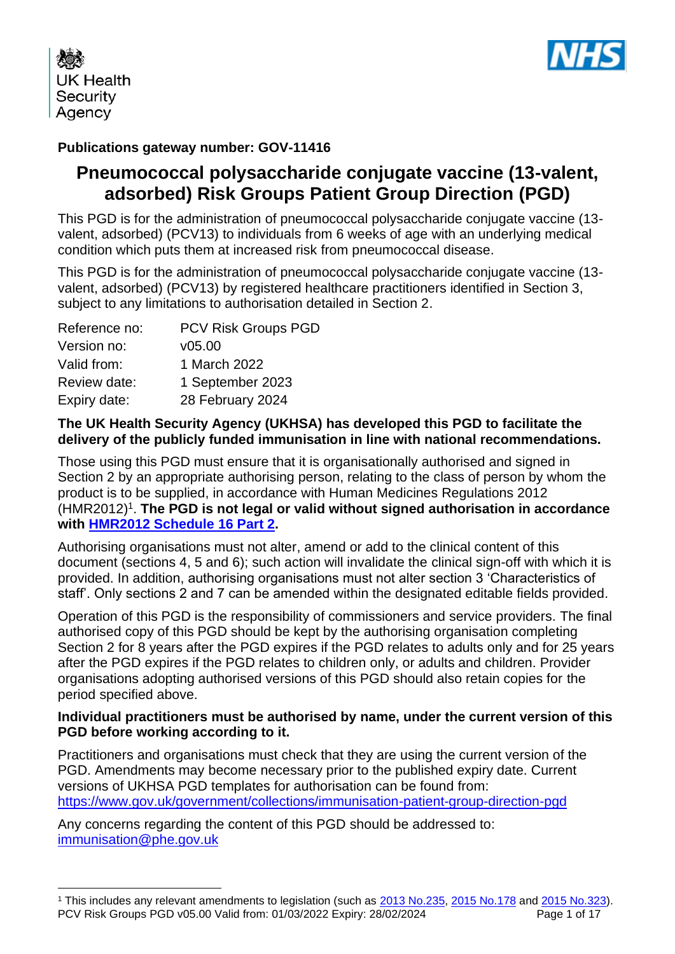



## **Publications gateway number: GOV-11416**

# **Pneumococcal polysaccharide conjugate vaccine (13-valent, adsorbed) Risk Groups Patient Group Direction (PGD)**

This PGD is for the administration of pneumococcal polysaccharide conjugate vaccine (13 valent, adsorbed) (PCV13) to individuals from 6 weeks of age with an underlying medical condition which puts them at increased risk from pneumococcal disease.

This PGD is for the administration of pneumococcal polysaccharide conjugate vaccine (13 valent, adsorbed) (PCV13) by registered healthcare practitioners identified in Section 3, subject to any limitations to authorisation detailed in Section 2.

| Reference no: | <b>PCV Risk Groups PGD</b> |
|---------------|----------------------------|
| Version no:   | v05.00                     |
| Valid from:   | 1 March 2022               |
| Review date:  | 1 September 2023           |
| Expiry date:  | 28 February 2024           |

### **The UK Health Security Agency (UKHSA) has developed this PGD to facilitate the delivery of the publicly funded immunisation in line with national recommendations.**

Those using this PGD must ensure that it is organisationally authorised and signed in Section 2 by an appropriate authorising person, relating to the class of person by whom the product is to be supplied, in accordance with Human Medicines Regulations 2012 (HMR2012)<sup>1</sup>. The PGD is not legal or valid without signed authorisation in accordance **with [HMR2012 Schedule](http://www.legislation.gov.uk/uksi/2012/1916/schedule/16/part/2/made) 16 Part 2.** 

Authorising organisations must not alter, amend or add to the clinical content of this document (sections 4, 5 and 6); such action will invalidate the clinical sign-off with which it is provided. In addition, authorising organisations must not alter section 3 'Characteristics of staff'. Only sections 2 and 7 can be amended within the designated editable fields provided.

Operation of this PGD is the responsibility of commissioners and service providers. The final authorised copy of this PGD should be kept by the authorising organisation completing Section 2 for 8 years after the PGD expires if the PGD relates to adults only and for 25 years after the PGD expires if the PGD relates to children only, or adults and children. Provider organisations adopting authorised versions of this PGD should also retain copies for the period specified above.

### **Individual practitioners must be authorised by name, under the current version of this PGD before working according to it.**

Practitioners and organisations must check that they are using the current version of the PGD. Amendments may become necessary prior to the published expiry date. Current versions of UKHSA PGD templates for authorisation can be found from: <https://www.gov.uk/government/collections/immunisation-patient-group-direction-pgd>

Any concerns regarding the content of this PGD should be addressed to: [immunisation@phe.gov.uk](mailto:Immunisation@phe.gov.uk)

PCV Risk Groups PGD v05.00 Valid from: 01/03/2022 Expiry: 28/02/2024 Page 1 of 17 <sup>1</sup> This includes any relevant amendments to legislation (such as [2013 No.235,](http://www.legislation.gov.uk/uksi/2013/235/contents/made) [2015 No.178](http://www.legislation.gov.uk/nisr/2015/178/contents/made) and [2015 No.323\)](http://www.legislation.gov.uk/uksi/2015/323/contents/made).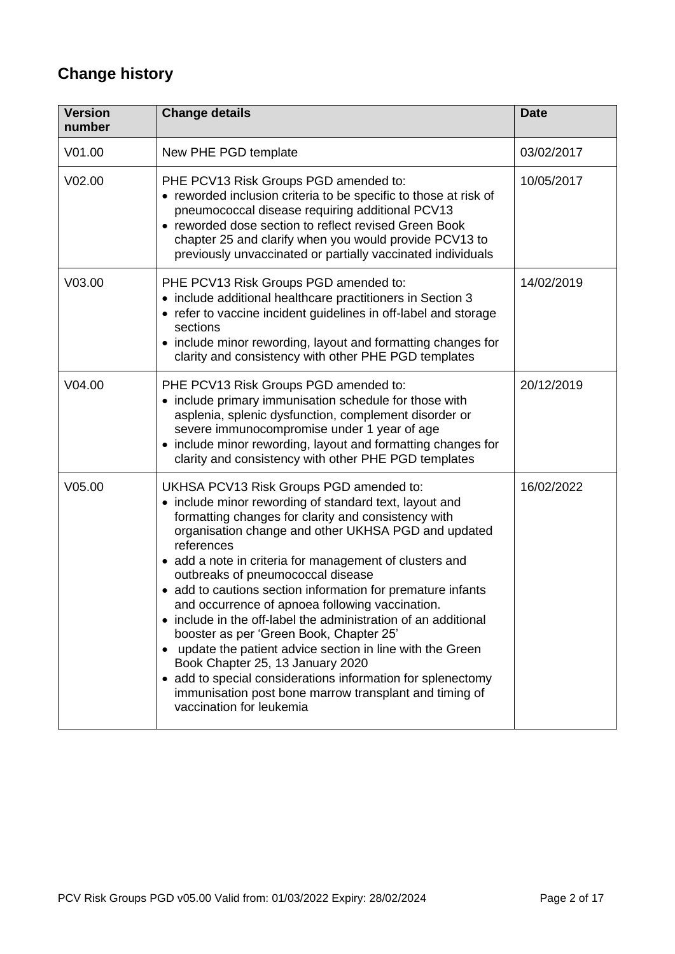# **Change history**

| <b>Version</b><br>number | <b>Change details</b>                                                                                                                                                                                                                                                                                                                                                                                                                                                                                                                                                                                                                                                                                                                                                                                                          | <b>Date</b> |
|--------------------------|--------------------------------------------------------------------------------------------------------------------------------------------------------------------------------------------------------------------------------------------------------------------------------------------------------------------------------------------------------------------------------------------------------------------------------------------------------------------------------------------------------------------------------------------------------------------------------------------------------------------------------------------------------------------------------------------------------------------------------------------------------------------------------------------------------------------------------|-------------|
| V01.00                   | New PHE PGD template                                                                                                                                                                                                                                                                                                                                                                                                                                                                                                                                                                                                                                                                                                                                                                                                           | 03/02/2017  |
| V02.00                   | PHE PCV13 Risk Groups PGD amended to:<br>• reworded inclusion criteria to be specific to those at risk of<br>pneumococcal disease requiring additional PCV13<br>• reworded dose section to reflect revised Green Book<br>chapter 25 and clarify when you would provide PCV13 to<br>previously unvaccinated or partially vaccinated individuals                                                                                                                                                                                                                                                                                                                                                                                                                                                                                 | 10/05/2017  |
| V03.00                   | PHE PCV13 Risk Groups PGD amended to:<br>• include additional healthcare practitioners in Section 3<br>• refer to vaccine incident guidelines in off-label and storage<br>sections<br>• include minor rewording, layout and formatting changes for<br>clarity and consistency with other PHE PGD templates                                                                                                                                                                                                                                                                                                                                                                                                                                                                                                                     | 14/02/2019  |
| V04.00                   | PHE PCV13 Risk Groups PGD amended to:<br>• include primary immunisation schedule for those with<br>asplenia, splenic dysfunction, complement disorder or<br>severe immunocompromise under 1 year of age<br>• include minor rewording, layout and formatting changes for<br>clarity and consistency with other PHE PGD templates                                                                                                                                                                                                                                                                                                                                                                                                                                                                                                | 20/12/2019  |
| V05.00                   | UKHSA PCV13 Risk Groups PGD amended to:<br>• include minor rewording of standard text, layout and<br>formatting changes for clarity and consistency with<br>organisation change and other UKHSA PGD and updated<br>references<br>• add a note in criteria for management of clusters and<br>outbreaks of pneumococcal disease<br>• add to cautions section information for premature infants<br>and occurrence of apnoea following vaccination.<br>• include in the off-label the administration of an additional<br>booster as per 'Green Book, Chapter 25'<br>update the patient advice section in line with the Green<br>$\bullet$<br>Book Chapter 25, 13 January 2020<br>• add to special considerations information for splenectomy<br>immunisation post bone marrow transplant and timing of<br>vaccination for leukemia | 16/02/2022  |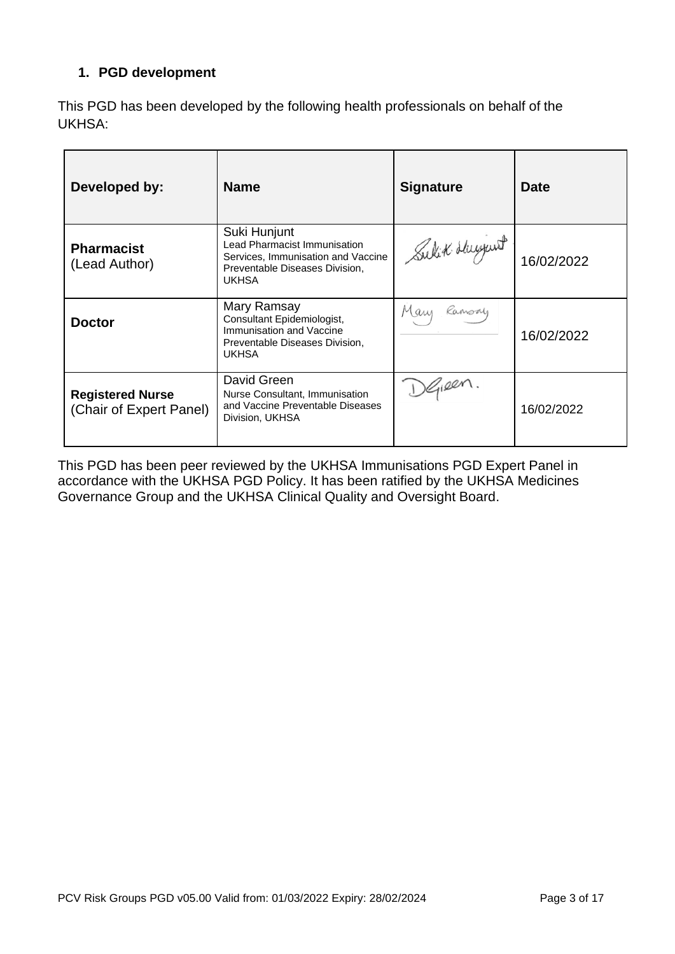## **1. PGD development**

This PGD has been developed by the following health professionals on behalf of the UKHSA:

| Developed by:                                      | <b>Name</b>                                                                                                                                 | <b>Signature</b> | <b>Date</b> |
|----------------------------------------------------|---------------------------------------------------------------------------------------------------------------------------------------------|------------------|-------------|
| <b>Pharmacist</b><br>(Lead Author)                 | Suki Hunjunt<br><b>Lead Pharmacist Immunisation</b><br>Services, Immunisation and Vaccine<br>Preventable Diseases Division,<br><b>UKHSA</b> | Sulit Huyunt     | 16/02/2022  |
| <b>Doctor</b>                                      | Mary Ramsay<br>Consultant Epidemiologist,<br>Immunisation and Vaccine<br>Preventable Diseases Division,<br><b>UKHSA</b>                     | Mary<br>Kamony   | 16/02/2022  |
| <b>Registered Nurse</b><br>(Chair of Expert Panel) | David Green<br>Nurse Consultant, Immunisation<br>and Vaccine Preventable Diseases<br>Division, UKHSA                                        | )Gieen.          | 16/02/2022  |

This PGD has been peer reviewed by the UKHSA Immunisations PGD Expert Panel in accordance with the UKHSA PGD Policy. It has been ratified by the UKHSA Medicines Governance Group and the UKHSA Clinical Quality and Oversight Board.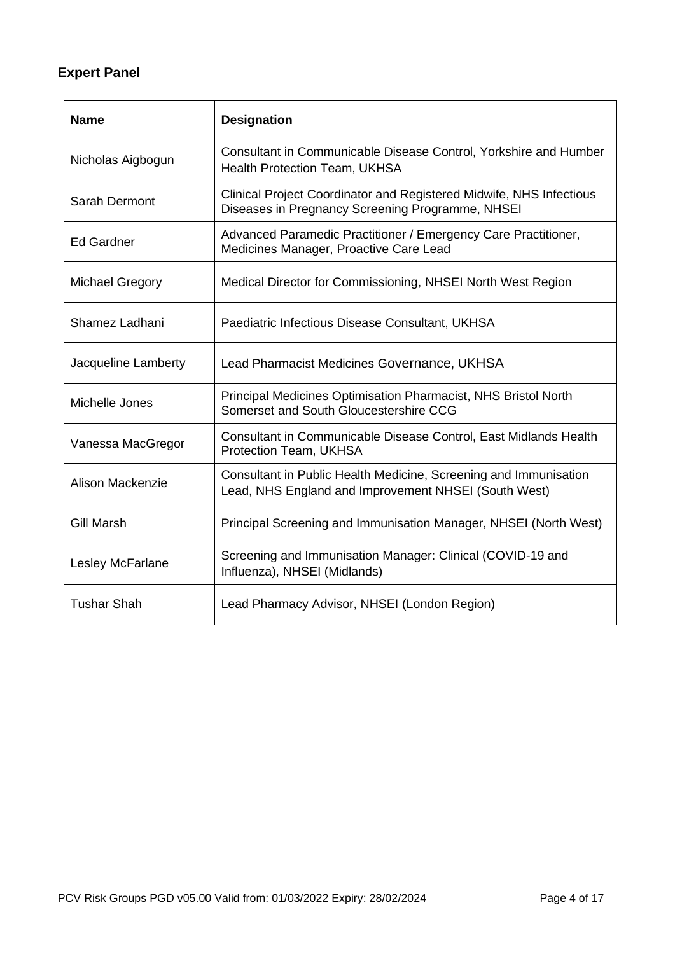# **Expert Panel**

| <b>Name</b>            | <b>Designation</b>                                                                                                       |
|------------------------|--------------------------------------------------------------------------------------------------------------------------|
| Nicholas Aigbogun      | Consultant in Communicable Disease Control, Yorkshire and Humber<br>Health Protection Team, UKHSA                        |
| Sarah Dermont          | Clinical Project Coordinator and Registered Midwife, NHS Infectious<br>Diseases in Pregnancy Screening Programme, NHSEI  |
| <b>Ed Gardner</b>      | Advanced Paramedic Practitioner / Emergency Care Practitioner,<br>Medicines Manager, Proactive Care Lead                 |
| <b>Michael Gregory</b> | Medical Director for Commissioning, NHSEI North West Region                                                              |
| Shamez Ladhani         | Paediatric Infectious Disease Consultant, UKHSA                                                                          |
| Jacqueline Lamberty    | Lead Pharmacist Medicines Governance, UKHSA                                                                              |
| Michelle Jones         | Principal Medicines Optimisation Pharmacist, NHS Bristol North<br>Somerset and South Gloucestershire CCG                 |
| Vanessa MacGregor      | Consultant in Communicable Disease Control, East Midlands Health<br>Protection Team, UKHSA                               |
| Alison Mackenzie       | Consultant in Public Health Medicine, Screening and Immunisation<br>Lead, NHS England and Improvement NHSEI (South West) |
| <b>Gill Marsh</b>      | Principal Screening and Immunisation Manager, NHSEI (North West)                                                         |
| Lesley McFarlane       | Screening and Immunisation Manager: Clinical (COVID-19 and<br>Influenza), NHSEI (Midlands)                               |
| <b>Tushar Shah</b>     | Lead Pharmacy Advisor, NHSEI (London Region)                                                                             |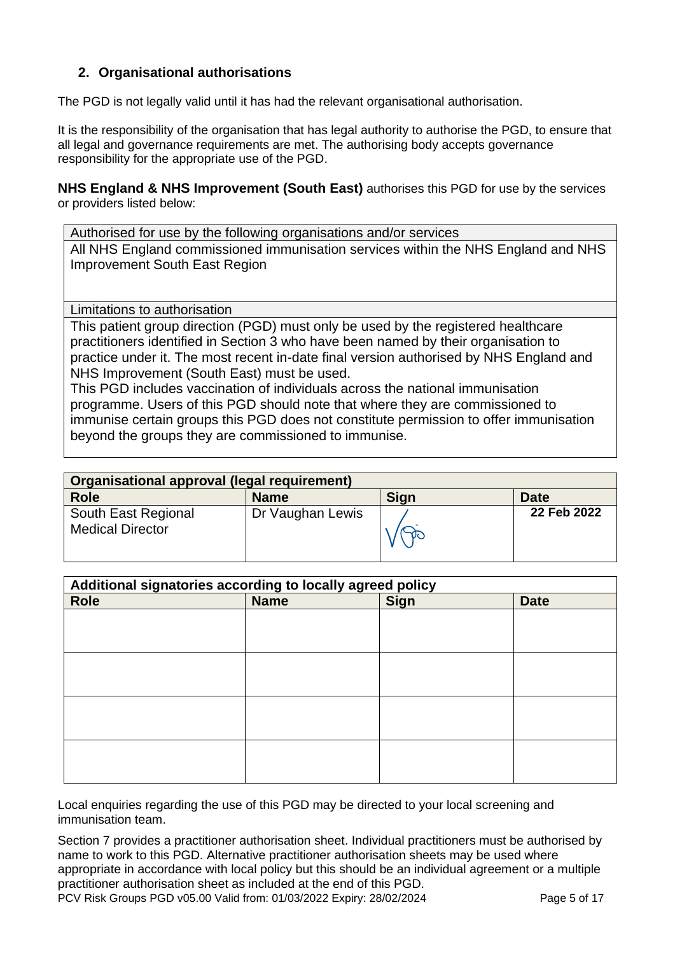### **2. Organisational authorisations**

The PGD is not legally valid until it has had the relevant organisational authorisation.

It is the responsibility of the organisation that has legal authority to authorise the PGD, to ensure that all legal and governance requirements are met. The authorising body accepts governance responsibility for the appropriate use of the PGD.

**NHS England & NHS Improvement (South East)** authorises this PGD for use by the services or providers listed below:

Authorised for use by the following organisations and/or services All NHS England commissioned immunisation services within the NHS England and NHS Improvement South East Region

<span id="page-4-0"></span>Limitations to authorisation

This patient group direction (PGD) must only be used by the registered healthcare practitioners identified in Section 3 who have been named by their organisation to practice under it. The most recent in-date final version authorised by NHS England and NHS Improvement (South East) must be used.

This PGD includes vaccination of individuals across the national immunisation programme. Users of this PGD should note that where they are commissioned to immunise certain groups this PGD does not constitute permission to offer immunisation beyond the groups they are commissioned to immunise.

| Organisational approval (legal requirement)    |                  |      |             |
|------------------------------------------------|------------------|------|-------------|
| <b>Role</b>                                    | <b>Name</b>      | Sign | Date        |
| South East Regional<br><b>Medical Director</b> | Dr Vaughan Lewis |      | 22 Feb 2022 |

| Additional signatories according to locally agreed policy |             |             |             |
|-----------------------------------------------------------|-------------|-------------|-------------|
| <b>Role</b>                                               | <b>Name</b> | <b>Sign</b> | <b>Date</b> |
|                                                           |             |             |             |
|                                                           |             |             |             |
|                                                           |             |             |             |
|                                                           |             |             |             |
|                                                           |             |             |             |
|                                                           |             |             |             |
|                                                           |             |             |             |
|                                                           |             |             |             |
|                                                           |             |             |             |
|                                                           |             |             |             |
|                                                           |             |             |             |
|                                                           |             |             |             |

Local enquiries regarding the use of this PGD may be directed to your local screening and immunisation team.

Section 7 provides a practitioner authorisation sheet. Individual practitioners must be authorised by name to work to this PGD. Alternative practitioner authorisation sheets may be used where appropriate in accordance with local policy but this should be an individual agreement or a multiple practitioner authorisation sheet as included at the end of this PGD.

PCV Risk Groups PGD v05.00 Valid from: 01/03/2022 Expiry: 28/02/2024 Page 5 of 17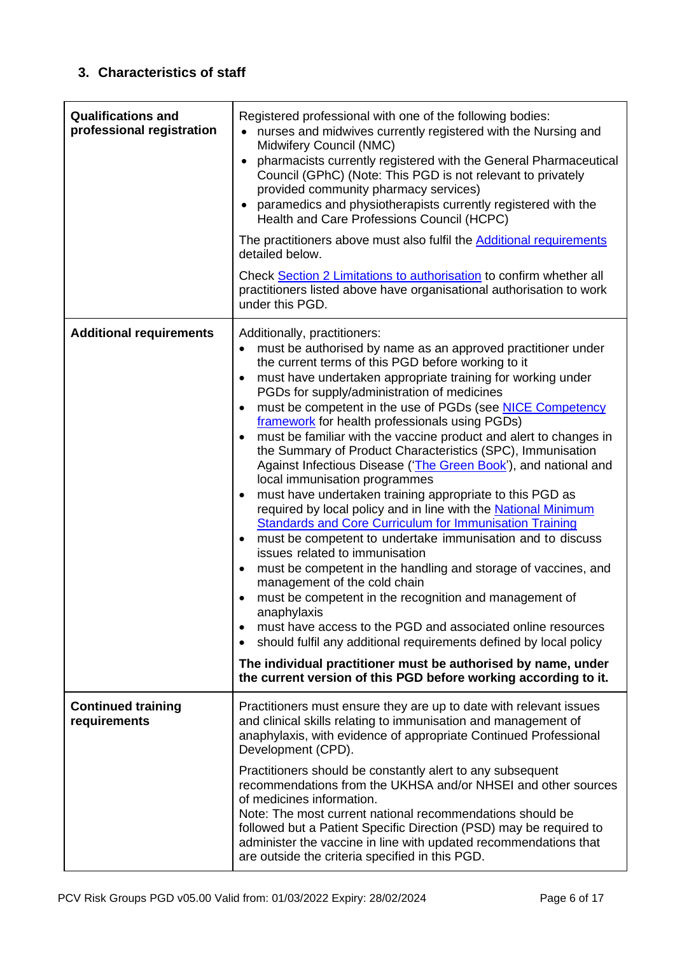# **3. Characteristics of staff**

<span id="page-5-0"></span>

| <b>Qualifications and</b><br>professional registration | Registered professional with one of the following bodies:<br>nurses and midwives currently registered with the Nursing and<br>Midwifery Council (NMC)<br>pharmacists currently registered with the General Pharmaceutical<br>Council (GPhC) (Note: This PGD is not relevant to privately<br>provided community pharmacy services)<br>paramedics and physiotherapists currently registered with the<br>Health and Care Professions Council (HCPC)<br>The practitioners above must also fulfil the Additional requirements<br>detailed below.<br>Check Section 2 Limitations to authorisation to confirm whether all<br>practitioners listed above have organisational authorisation to work<br>under this PGD.                                                                                                                                                                                                                                                                                                                                                                                                                                                                                                                                                                                                                                                                                                                              |
|--------------------------------------------------------|--------------------------------------------------------------------------------------------------------------------------------------------------------------------------------------------------------------------------------------------------------------------------------------------------------------------------------------------------------------------------------------------------------------------------------------------------------------------------------------------------------------------------------------------------------------------------------------------------------------------------------------------------------------------------------------------------------------------------------------------------------------------------------------------------------------------------------------------------------------------------------------------------------------------------------------------------------------------------------------------------------------------------------------------------------------------------------------------------------------------------------------------------------------------------------------------------------------------------------------------------------------------------------------------------------------------------------------------------------------------------------------------------------------------------------------------|
| <b>Additional requirements</b>                         | Additionally, practitioners:<br>must be authorised by name as an approved practitioner under<br>the current terms of this PGD before working to it<br>must have undertaken appropriate training for working under<br>$\bullet$<br>PGDs for supply/administration of medicines<br>must be competent in the use of PGDs (see NICE Competency<br>framework for health professionals using PGDs)<br>must be familiar with the vaccine product and alert to changes in<br>the Summary of Product Characteristics (SPC), Immunisation<br>Against Infectious Disease ('The Green Book'), and national and<br>local immunisation programmes<br>must have undertaken training appropriate to this PGD as<br>$\bullet$<br>required by local policy and in line with the National Minimum<br><b>Standards and Core Curriculum for Immunisation Training</b><br>must be competent to undertake immunisation and to discuss<br>issues related to immunisation<br>must be competent in the handling and storage of vaccines, and<br>$\bullet$<br>management of the cold chain<br>must be competent in the recognition and management of<br>anaphylaxis<br>must have access to the PGD and associated online resources<br>$\bullet$<br>should fulfil any additional requirements defined by local policy<br>$\bullet$<br>The individual practitioner must be authorised by name, under<br>the current version of this PGD before working according to it. |
| <b>Continued training</b><br>requirements              | Practitioners must ensure they are up to date with relevant issues<br>and clinical skills relating to immunisation and management of<br>anaphylaxis, with evidence of appropriate Continued Professional<br>Development (CPD).<br>Practitioners should be constantly alert to any subsequent<br>recommendations from the UKHSA and/or NHSEI and other sources<br>of medicines information.<br>Note: The most current national recommendations should be<br>followed but a Patient Specific Direction (PSD) may be required to<br>administer the vaccine in line with updated recommendations that<br>are outside the criteria specified in this PGD.                                                                                                                                                                                                                                                                                                                                                                                                                                                                                                                                                                                                                                                                                                                                                                                       |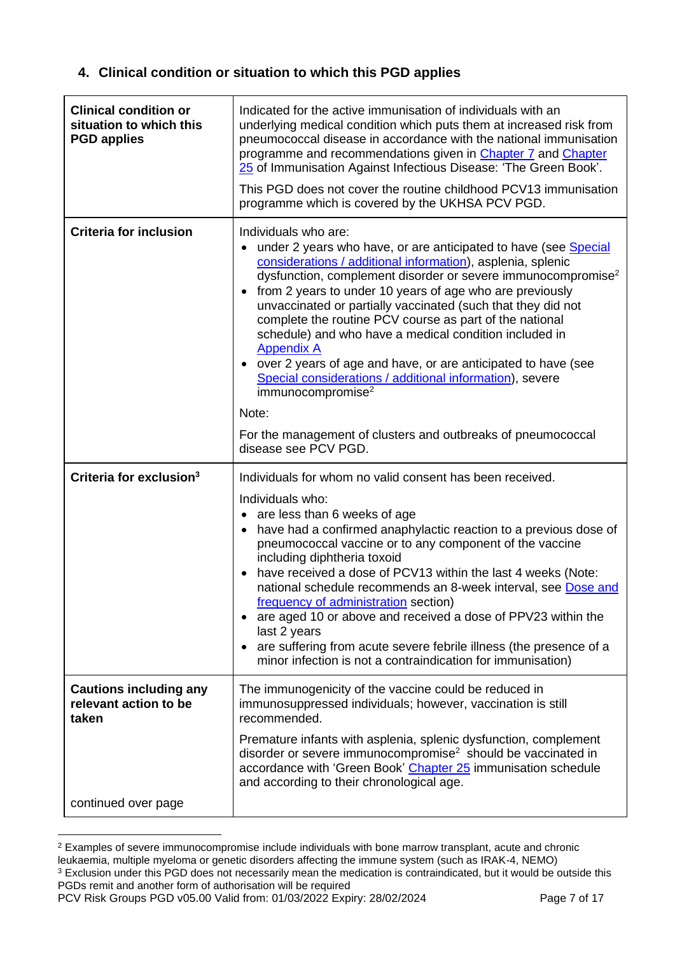# <span id="page-6-0"></span>**4. Clinical condition or situation to which this PGD applies**

| <b>Clinical condition or</b><br>situation to which this<br><b>PGD applies</b> | Indicated for the active immunisation of individuals with an<br>underlying medical condition which puts them at increased risk from<br>pneumococcal disease in accordance with the national immunisation<br>programme and recommendations given in Chapter 7 and Chapter<br>25 of Immunisation Against Infectious Disease: 'The Green Book'.<br>This PGD does not cover the routine childhood PCV13 immunisation<br>programme which is covered by the UKHSA PCV PGD.                                                                                                                                                                                                         |
|-------------------------------------------------------------------------------|------------------------------------------------------------------------------------------------------------------------------------------------------------------------------------------------------------------------------------------------------------------------------------------------------------------------------------------------------------------------------------------------------------------------------------------------------------------------------------------------------------------------------------------------------------------------------------------------------------------------------------------------------------------------------|
| <b>Criteria for inclusion</b>                                                 | Individuals who are:<br>under 2 years who have, or are anticipated to have (see Special<br>considerations / additional information), asplenia, splenic<br>dysfunction, complement disorder or severe immunocompromise <sup>2</sup><br>from 2 years to under 10 years of age who are previously<br>unvaccinated or partially vaccinated (such that they did not<br>complete the routine PCV course as part of the national<br>schedule) and who have a medical condition included in<br><b>Appendix A</b><br>over 2 years of age and have, or are anticipated to have (see<br>Special considerations / additional information), severe<br>immunocompromise $2$<br>Note:       |
|                                                                               | For the management of clusters and outbreaks of pneumococcal<br>disease see PCV PGD.                                                                                                                                                                                                                                                                                                                                                                                                                                                                                                                                                                                         |
| Criteria for exclusion <sup>3</sup>                                           | Individuals for whom no valid consent has been received.<br>Individuals who:<br>• are less than 6 weeks of age<br>have had a confirmed anaphylactic reaction to a previous dose of<br>pneumococcal vaccine or to any component of the vaccine<br>including diphtheria toxoid<br>have received a dose of PCV13 within the last 4 weeks (Note:<br>national schedule recommends an 8-week interval, see Dose and<br>frequency of administration section)<br>• are aged 10 or above and received a dose of PPV23 within the<br>last 2 years<br>are suffering from acute severe febrile illness (the presence of a<br>minor infection is not a contraindication for immunisation) |
| <b>Cautions including any</b><br>relevant action to be<br>taken               | The immunogenicity of the vaccine could be reduced in<br>immunosuppressed individuals; however, vaccination is still<br>recommended.                                                                                                                                                                                                                                                                                                                                                                                                                                                                                                                                         |
|                                                                               | Premature infants with asplenia, splenic dysfunction, complement<br>disorder or severe immunocompromise <sup>2</sup> should be vaccinated in<br>accordance with 'Green Book' Chapter 25 immunisation schedule<br>and according to their chronological age.                                                                                                                                                                                                                                                                                                                                                                                                                   |
| continued over page                                                           |                                                                                                                                                                                                                                                                                                                                                                                                                                                                                                                                                                                                                                                                              |

<sup>&</sup>lt;sup>2</sup> Examples of severe immunocompromise include individuals with bone marrow transplant, acute and chronic leukaemia, multiple myeloma or genetic disorders affecting the immune system (such as IRAK-4, NEMO) <sup>3</sup> Exclusion under this PGD does not necessarily mean the medication is contraindicated, but it would be outside this PGDs remit and another form of authorisation will be required

PCV Risk Groups PGD v05.00 Valid from: 01/03/2022 Expiry: 28/02/2024 Page 7 of 17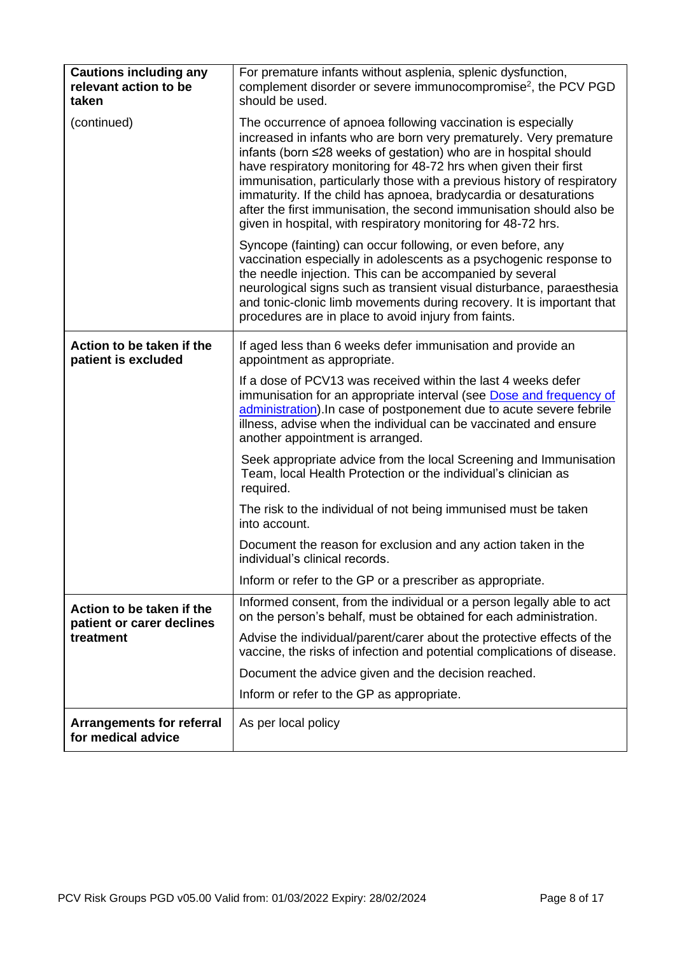| <b>Cautions including any</b><br>relevant action to be<br>taken | For premature infants without asplenia, splenic dysfunction,<br>complement disorder or severe immunocompromise <sup>2</sup> , the PCV PGD<br>should be used.                                                                                                                                                                                                                                                                                                                                                                                                        |
|-----------------------------------------------------------------|---------------------------------------------------------------------------------------------------------------------------------------------------------------------------------------------------------------------------------------------------------------------------------------------------------------------------------------------------------------------------------------------------------------------------------------------------------------------------------------------------------------------------------------------------------------------|
| (continued)                                                     | The occurrence of apnoea following vaccination is especially<br>increased in infants who are born very prematurely. Very premature<br>infants (born ≤28 weeks of gestation) who are in hospital should<br>have respiratory monitoring for 48-72 hrs when given their first<br>immunisation, particularly those with a previous history of respiratory<br>immaturity. If the child has apnoea, bradycardia or desaturations<br>after the first immunisation, the second immunisation should also be<br>given in hospital, with respiratory monitoring for 48-72 hrs. |
|                                                                 | Syncope (fainting) can occur following, or even before, any<br>vaccination especially in adolescents as a psychogenic response to<br>the needle injection. This can be accompanied by several<br>neurological signs such as transient visual disturbance, paraesthesia<br>and tonic-clonic limb movements during recovery. It is important that<br>procedures are in place to avoid injury from faints.                                                                                                                                                             |
| Action to be taken if the<br>patient is excluded                | If aged less than 6 weeks defer immunisation and provide an<br>appointment as appropriate.                                                                                                                                                                                                                                                                                                                                                                                                                                                                          |
|                                                                 | If a dose of PCV13 was received within the last 4 weeks defer<br>immunisation for an appropriate interval (see Dose and frequency of<br>administration). In case of postponement due to acute severe febrile<br>illness, advise when the individual can be vaccinated and ensure<br>another appointment is arranged.                                                                                                                                                                                                                                                |
|                                                                 | Seek appropriate advice from the local Screening and Immunisation<br>Team, local Health Protection or the individual's clinician as<br>required.                                                                                                                                                                                                                                                                                                                                                                                                                    |
|                                                                 | The risk to the individual of not being immunised must be taken<br>into account.                                                                                                                                                                                                                                                                                                                                                                                                                                                                                    |
|                                                                 | Document the reason for exclusion and any action taken in the<br>individual's clinical records.                                                                                                                                                                                                                                                                                                                                                                                                                                                                     |
|                                                                 | Inform or refer to the GP or a prescriber as appropriate.                                                                                                                                                                                                                                                                                                                                                                                                                                                                                                           |
| Action to be taken if the<br>patient or carer declines          | Informed consent, from the individual or a person legally able to act<br>on the person's behalf, must be obtained for each administration.                                                                                                                                                                                                                                                                                                                                                                                                                          |
| treatment                                                       | Advise the individual/parent/carer about the protective effects of the<br>vaccine, the risks of infection and potential complications of disease.                                                                                                                                                                                                                                                                                                                                                                                                                   |
|                                                                 | Document the advice given and the decision reached.                                                                                                                                                                                                                                                                                                                                                                                                                                                                                                                 |
|                                                                 | Inform or refer to the GP as appropriate.                                                                                                                                                                                                                                                                                                                                                                                                                                                                                                                           |
| <b>Arrangements for referral</b><br>for medical advice          | As per local policy                                                                                                                                                                                                                                                                                                                                                                                                                                                                                                                                                 |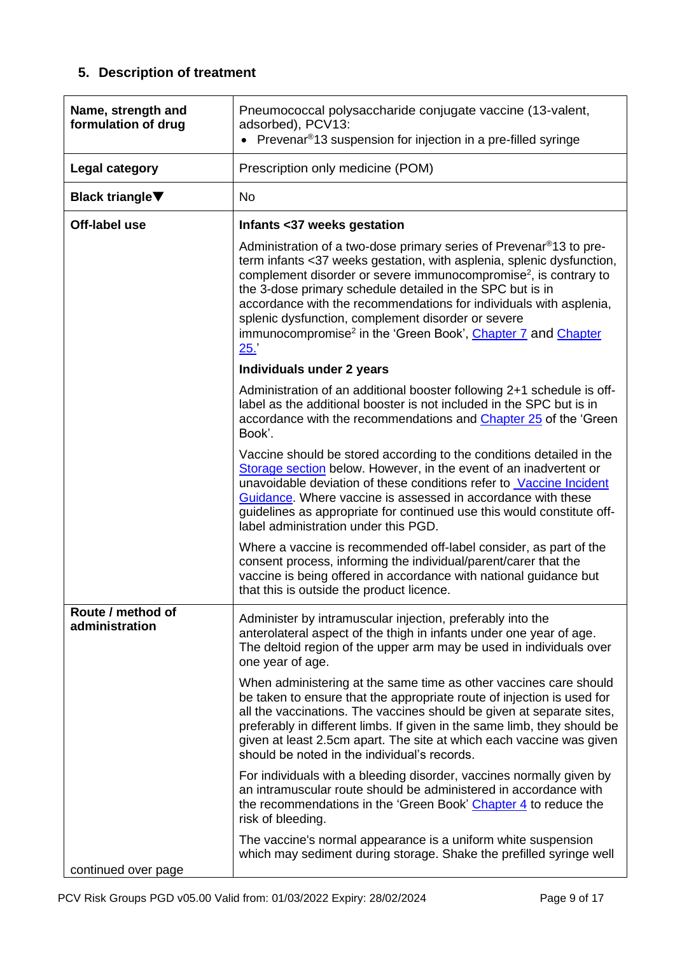# **5. Description of treatment**

| Name, strength and<br>formulation of drug | Pneumococcal polysaccharide conjugate vaccine (13-valent,<br>adsorbed), PCV13:<br>• Prevenar <sup>®</sup> 13 suspension for injection in a pre-filled syringe                                                                                                                                                                                                                                                                                                                                                        |
|-------------------------------------------|----------------------------------------------------------------------------------------------------------------------------------------------------------------------------------------------------------------------------------------------------------------------------------------------------------------------------------------------------------------------------------------------------------------------------------------------------------------------------------------------------------------------|
| <b>Legal category</b>                     | Prescription only medicine (POM)                                                                                                                                                                                                                                                                                                                                                                                                                                                                                     |
| <b>Black triangle</b> ▼                   | <b>No</b>                                                                                                                                                                                                                                                                                                                                                                                                                                                                                                            |
| Off-label use                             | Infants <37 weeks gestation                                                                                                                                                                                                                                                                                                                                                                                                                                                                                          |
|                                           | Administration of a two-dose primary series of Prevenar <sup>®</sup> 13 to pre-<br>term infants <37 weeks gestation, with asplenia, splenic dysfunction,<br>complement disorder or severe immunocompromise <sup>2</sup> , is contrary to<br>the 3-dose primary schedule detailed in the SPC but is in<br>accordance with the recommendations for individuals with asplenia,<br>splenic dysfunction, complement disorder or severe<br>immunocompromise <sup>2</sup> in the 'Green Book', Chapter 7 and Chapter<br>25. |
|                                           | Individuals under 2 years                                                                                                                                                                                                                                                                                                                                                                                                                                                                                            |
|                                           | Administration of an additional booster following 2+1 schedule is off-<br>label as the additional booster is not included in the SPC but is in<br>accordance with the recommendations and Chapter 25 of the 'Green<br>Book'.                                                                                                                                                                                                                                                                                         |
|                                           | Vaccine should be stored according to the conditions detailed in the<br>Storage section below. However, in the event of an inadvertent or<br>unavoidable deviation of these conditions refer to Vaccine Incident<br>Guidance. Where vaccine is assessed in accordance with these<br>guidelines as appropriate for continued use this would constitute off-<br>label administration under this PGD.                                                                                                                   |
|                                           | Where a vaccine is recommended off-label consider, as part of the<br>consent process, informing the individual/parent/carer that the<br>vaccine is being offered in accordance with national guidance but<br>that this is outside the product licence.                                                                                                                                                                                                                                                               |
| Route / method of<br>administration       | Administer by intramuscular injection, preferably into the<br>anterolateral aspect of the thigh in infants under one year of age.<br>The deltoid region of the upper arm may be used in individuals over<br>one year of age.                                                                                                                                                                                                                                                                                         |
|                                           | When administering at the same time as other vaccines care should<br>be taken to ensure that the appropriate route of injection is used for<br>all the vaccinations. The vaccines should be given at separate sites,<br>preferably in different limbs. If given in the same limb, they should be<br>given at least 2.5cm apart. The site at which each vaccine was given<br>should be noted in the individual's records.                                                                                             |
|                                           | For individuals with a bleeding disorder, vaccines normally given by<br>an intramuscular route should be administered in accordance with<br>the recommendations in the 'Green Book' Chapter 4 to reduce the<br>risk of bleeding.                                                                                                                                                                                                                                                                                     |
| continued over page                       | The vaccine's normal appearance is a uniform white suspension<br>which may sediment during storage. Shake the prefilled syringe well                                                                                                                                                                                                                                                                                                                                                                                 |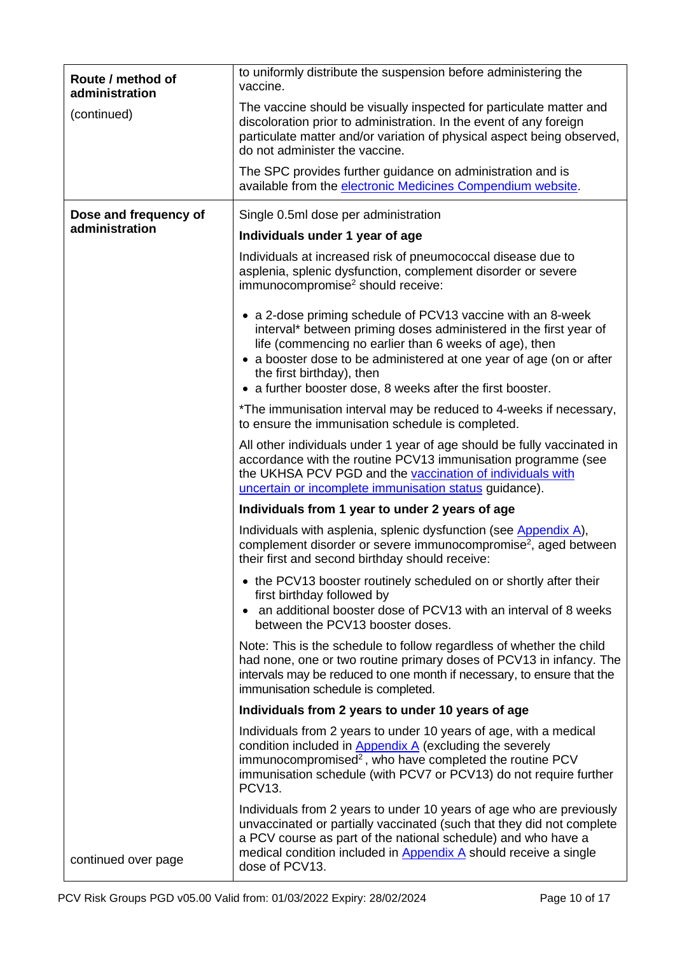| Route / method of<br>administration | to uniformly distribute the suspension before administering the<br>vaccine.                                                                                                                                                                                                                                                                                  |
|-------------------------------------|--------------------------------------------------------------------------------------------------------------------------------------------------------------------------------------------------------------------------------------------------------------------------------------------------------------------------------------------------------------|
| (continued)                         | The vaccine should be visually inspected for particulate matter and<br>discoloration prior to administration. In the event of any foreign<br>particulate matter and/or variation of physical aspect being observed,<br>do not administer the vaccine.                                                                                                        |
|                                     | The SPC provides further guidance on administration and is<br>available from the electronic Medicines Compendium website.                                                                                                                                                                                                                                    |
| Dose and frequency of               | Single 0.5ml dose per administration                                                                                                                                                                                                                                                                                                                         |
| administration                      | Individuals under 1 year of age                                                                                                                                                                                                                                                                                                                              |
|                                     | Individuals at increased risk of pneumococcal disease due to<br>asplenia, splenic dysfunction, complement disorder or severe<br>immunocompromise <sup>2</sup> should receive:                                                                                                                                                                                |
|                                     | • a 2-dose priming schedule of PCV13 vaccine with an 8-week<br>interval* between priming doses administered in the first year of<br>life (commencing no earlier than 6 weeks of age), then<br>• a booster dose to be administered at one year of age (on or after<br>the first birthday), then<br>• a further booster dose, 8 weeks after the first booster. |
|                                     | *The immunisation interval may be reduced to 4-weeks if necessary,<br>to ensure the immunisation schedule is completed.                                                                                                                                                                                                                                      |
|                                     | All other individuals under 1 year of age should be fully vaccinated in<br>accordance with the routine PCV13 immunisation programme (see<br>the UKHSA PCV PGD and the vaccination of individuals with<br>uncertain or incomplete immunisation status guidance).                                                                                              |
|                                     | Individuals from 1 year to under 2 years of age                                                                                                                                                                                                                                                                                                              |
|                                     | Individuals with asplenia, splenic dysfunction (see Appendix A),<br>complement disorder or severe immunocompromise <sup>2</sup> , aged between<br>their first and second birthday should receive:                                                                                                                                                            |
|                                     | • the PCV13 booster routinely scheduled on or shortly after their<br>first birthday followed by<br>• an additional booster dose of PCV13 with an interval of 8 weeks<br>between the PCV13 booster doses.                                                                                                                                                     |
|                                     | Note: This is the schedule to follow regardless of whether the child<br>had none, one or two routine primary doses of PCV13 in infancy. The<br>intervals may be reduced to one month if necessary, to ensure that the<br>immunisation schedule is completed.                                                                                                 |
|                                     | Individuals from 2 years to under 10 years of age                                                                                                                                                                                                                                                                                                            |
|                                     | Individuals from 2 years to under 10 years of age, with a medical<br>condition included in Appendix A (excluding the severely<br>immunocompromised <sup>2</sup> , who have completed the routine PCV<br>immunisation schedule (with PCV7 or PCV13) do not require further<br><b>PCV13.</b>                                                                   |
| continued over page                 | Individuals from 2 years to under 10 years of age who are previously<br>unvaccinated or partially vaccinated (such that they did not complete<br>a PCV course as part of the national schedule) and who have a<br>medical condition included in Appendix A should receive a single<br>dose of PCV13.                                                         |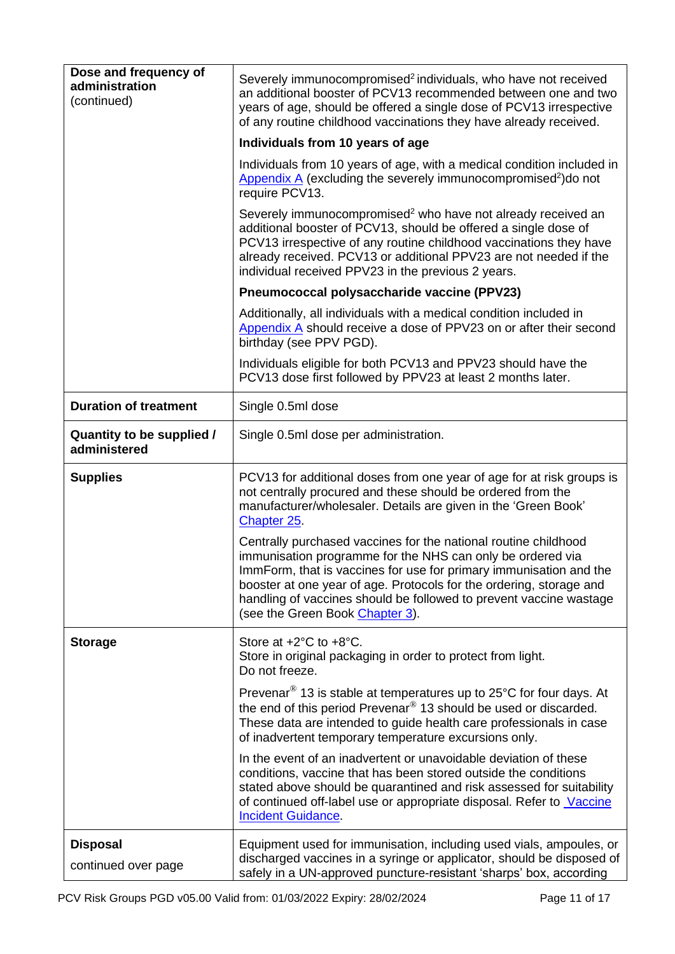<span id="page-10-0"></span>

| Dose and frequency of<br>administration<br>(continued) | Severely immunocompromised <sup>2</sup> individuals, who have not received<br>an additional booster of PCV13 recommended between one and two<br>years of age, should be offered a single dose of PCV13 irrespective<br>of any routine childhood vaccinations they have already received.                                                                                            |
|--------------------------------------------------------|-------------------------------------------------------------------------------------------------------------------------------------------------------------------------------------------------------------------------------------------------------------------------------------------------------------------------------------------------------------------------------------|
|                                                        | Individuals from 10 years of age                                                                                                                                                                                                                                                                                                                                                    |
|                                                        | Individuals from 10 years of age, with a medical condition included in<br>Appendix $\overline{A}$ (excluding the severely immunocompromised <sup>2</sup> ) do not<br>require PCV13.                                                                                                                                                                                                 |
|                                                        | Severely immunocompromised <sup>2</sup> who have not already received an<br>additional booster of PCV13, should be offered a single dose of<br>PCV13 irrespective of any routine childhood vaccinations they have<br>already received. PCV13 or additional PPV23 are not needed if the<br>individual received PPV23 in the previous 2 years.                                        |
|                                                        | Pneumococcal polysaccharide vaccine (PPV23)                                                                                                                                                                                                                                                                                                                                         |
|                                                        | Additionally, all individuals with a medical condition included in<br>Appendix A should receive a dose of PPV23 on or after their second<br>birthday (see PPV PGD).                                                                                                                                                                                                                 |
|                                                        | Individuals eligible for both PCV13 and PPV23 should have the<br>PCV13 dose first followed by PPV23 at least 2 months later.                                                                                                                                                                                                                                                        |
| <b>Duration of treatment</b>                           | Single 0.5ml dose                                                                                                                                                                                                                                                                                                                                                                   |
| Quantity to be supplied /<br>administered              | Single 0.5ml dose per administration.                                                                                                                                                                                                                                                                                                                                               |
| <b>Supplies</b>                                        | PCV13 for additional doses from one year of age for at risk groups is<br>not centrally procured and these should be ordered from the<br>manufacturer/wholesaler. Details are given in the 'Green Book'<br>Chapter 25                                                                                                                                                                |
|                                                        | Centrally purchased vaccines for the national routine childhood<br>immunisation programme for the NHS can only be ordered via<br>ImmForm, that is vaccines for use for primary immunisation and the<br>booster at one year of age. Protocols for the ordering, storage and<br>handling of vaccines should be followed to prevent vaccine wastage<br>(see the Green Book Chapter 3). |
| <b>Storage</b>                                         | Store at $+2^{\circ}$ C to $+8^{\circ}$ C.<br>Store in original packaging in order to protect from light.<br>Do not freeze.                                                                                                                                                                                                                                                         |
|                                                        | Prevenar <sup>®</sup> 13 is stable at temperatures up to 25°C for four days. At<br>the end of this period Prevenar <sup>®</sup> 13 should be used or discarded.<br>These data are intended to guide health care professionals in case<br>of inadvertent temporary temperature excursions only.                                                                                      |
|                                                        | In the event of an inadvertent or unavoidable deviation of these<br>conditions, vaccine that has been stored outside the conditions<br>stated above should be quarantined and risk assessed for suitability<br>of continued off-label use or appropriate disposal. Refer to Vaccine<br><b>Incident Guidance.</b>                                                                    |
| <b>Disposal</b><br>continued over page                 | Equipment used for immunisation, including used vials, ampoules, or<br>discharged vaccines in a syringe or applicator, should be disposed of<br>safely in a UN-approved puncture-resistant 'sharps' box, according                                                                                                                                                                  |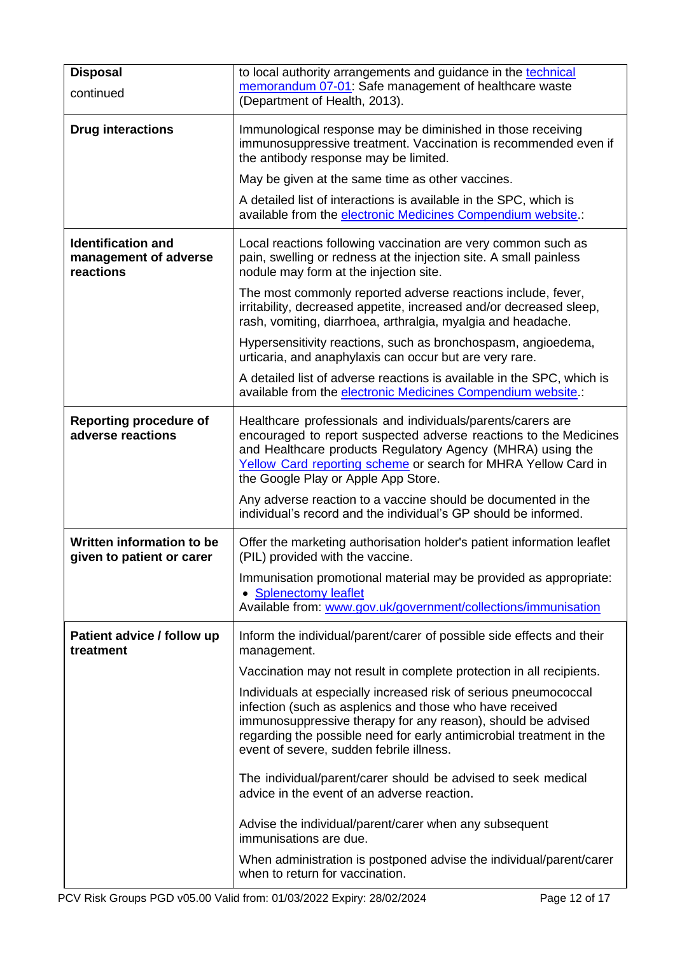| <b>Disposal</b><br>continued                                    | to local authority arrangements and guidance in the technical<br>memorandum 07-01: Safe management of healthcare waste                                                                                                                                                                                           |
|-----------------------------------------------------------------|------------------------------------------------------------------------------------------------------------------------------------------------------------------------------------------------------------------------------------------------------------------------------------------------------------------|
|                                                                 | (Department of Health, 2013).                                                                                                                                                                                                                                                                                    |
| <b>Drug interactions</b>                                        | Immunological response may be diminished in those receiving<br>immunosuppressive treatment. Vaccination is recommended even if<br>the antibody response may be limited.                                                                                                                                          |
|                                                                 | May be given at the same time as other vaccines.                                                                                                                                                                                                                                                                 |
|                                                                 | A detailed list of interactions is available in the SPC, which is<br>available from the electronic Medicines Compendium website.:                                                                                                                                                                                |
| <b>Identification and</b><br>management of adverse<br>reactions | Local reactions following vaccination are very common such as<br>pain, swelling or redness at the injection site. A small painless<br>nodule may form at the injection site.                                                                                                                                     |
|                                                                 | The most commonly reported adverse reactions include, fever,<br>irritability, decreased appetite, increased and/or decreased sleep,<br>rash, vomiting, diarrhoea, arthralgia, myalgia and headache.                                                                                                              |
|                                                                 | Hypersensitivity reactions, such as bronchospasm, angioedema,<br>urticaria, and anaphylaxis can occur but are very rare.                                                                                                                                                                                         |
|                                                                 | A detailed list of adverse reactions is available in the SPC, which is<br>available from the electronic Medicines Compendium website.:                                                                                                                                                                           |
| <b>Reporting procedure of</b><br>adverse reactions              | Healthcare professionals and individuals/parents/carers are<br>encouraged to report suspected adverse reactions to the Medicines<br>and Healthcare products Regulatory Agency (MHRA) using the<br>Yellow Card reporting scheme or search for MHRA Yellow Card in<br>the Google Play or Apple App Store.          |
|                                                                 | Any adverse reaction to a vaccine should be documented in the<br>individual's record and the individual's GP should be informed.                                                                                                                                                                                 |
| Written information to be<br>given to patient or carer          | Offer the marketing authorisation holder's patient information leaflet<br>(PIL) provided with the vaccine.                                                                                                                                                                                                       |
|                                                                 | Immunisation promotional material may be provided as appropriate:<br>• Splenectomy leaflet<br>Available from: www.gov.uk/government/collections/immunisation                                                                                                                                                     |
|                                                                 |                                                                                                                                                                                                                                                                                                                  |
| Patient advice / follow up<br>treatment                         | Inform the individual/parent/carer of possible side effects and their<br>management.                                                                                                                                                                                                                             |
|                                                                 | Vaccination may not result in complete protection in all recipients.                                                                                                                                                                                                                                             |
|                                                                 | Individuals at especially increased risk of serious pneumococcal<br>infection (such as asplenics and those who have received<br>immunosuppressive therapy for any reason), should be advised<br>regarding the possible need for early antimicrobial treatment in the<br>event of severe, sudden febrile illness. |
|                                                                 | The individual/parent/carer should be advised to seek medical<br>advice in the event of an adverse reaction.                                                                                                                                                                                                     |
|                                                                 | Advise the individual/parent/carer when any subsequent<br>immunisations are due.                                                                                                                                                                                                                                 |
|                                                                 | When administration is postponed advise the individual/parent/carer<br>when to return for vaccination.                                                                                                                                                                                                           |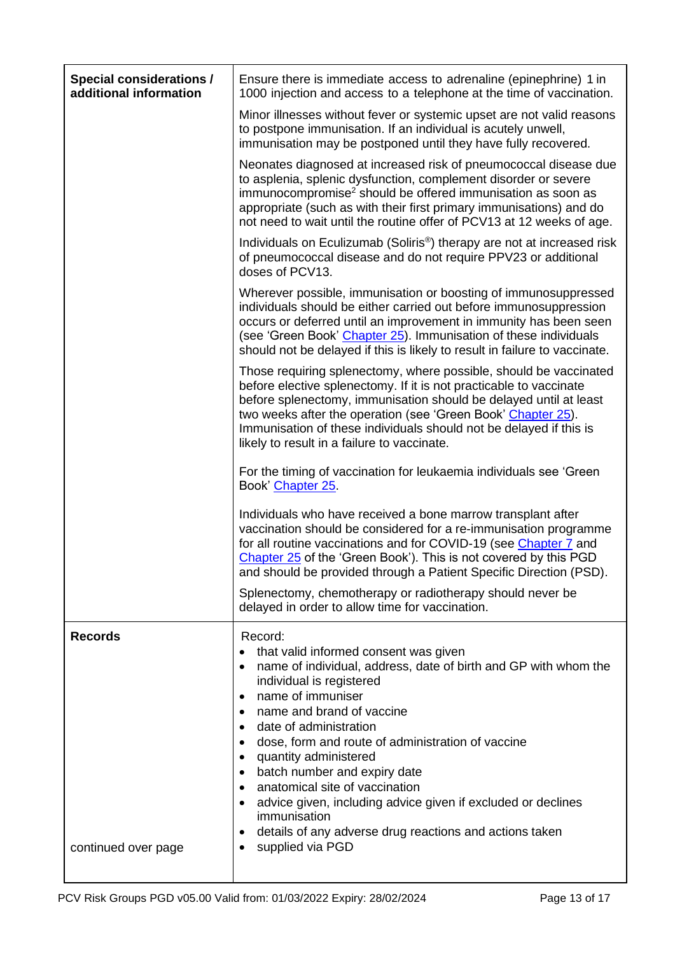<span id="page-12-0"></span>

| <b>Special considerations /</b><br>additional information | Ensure there is immediate access to adrenaline (epinephrine) 1 in<br>1000 injection and access to a telephone at the time of vaccination.                                                                                                                                                                                                                                                                                                                                                                                                                                                                      |  |
|-----------------------------------------------------------|----------------------------------------------------------------------------------------------------------------------------------------------------------------------------------------------------------------------------------------------------------------------------------------------------------------------------------------------------------------------------------------------------------------------------------------------------------------------------------------------------------------------------------------------------------------------------------------------------------------|--|
|                                                           | Minor illnesses without fever or systemic upset are not valid reasons<br>to postpone immunisation. If an individual is acutely unwell,<br>immunisation may be postponed until they have fully recovered.                                                                                                                                                                                                                                                                                                                                                                                                       |  |
|                                                           | Neonates diagnosed at increased risk of pneumococcal disease due<br>to asplenia, splenic dysfunction, complement disorder or severe<br>immunocompromise <sup>2</sup> should be offered immunisation as soon as<br>appropriate (such as with their first primary immunisations) and do<br>not need to wait until the routine offer of PCV13 at 12 weeks of age.                                                                                                                                                                                                                                                 |  |
|                                                           | Individuals on Eculizumab (Soliris <sup>®</sup> ) therapy are not at increased risk<br>of pneumococcal disease and do not require PPV23 or additional<br>doses of PCV13.                                                                                                                                                                                                                                                                                                                                                                                                                                       |  |
|                                                           | Wherever possible, immunisation or boosting of immunosuppressed<br>individuals should be either carried out before immunosuppression<br>occurs or deferred until an improvement in immunity has been seen<br>(see 'Green Book' Chapter 25). Immunisation of these individuals<br>should not be delayed if this is likely to result in failure to vaccinate.                                                                                                                                                                                                                                                    |  |
|                                                           | Those requiring splenectomy, where possible, should be vaccinated<br>before elective splenectomy. If it is not practicable to vaccinate<br>before splenectomy, immunisation should be delayed until at least<br>two weeks after the operation (see 'Green Book' Chapter 25).<br>Immunisation of these individuals should not be delayed if this is<br>likely to result in a failure to vaccinate.                                                                                                                                                                                                              |  |
|                                                           | For the timing of vaccination for leukaemia individuals see 'Green<br>Book' Chapter 25.                                                                                                                                                                                                                                                                                                                                                                                                                                                                                                                        |  |
|                                                           | Individuals who have received a bone marrow transplant after<br>vaccination should be considered for a re-immunisation programme<br>for all routine vaccinations and for COVID-19 (see Chapter 7 and<br>Chapter 25 of the 'Green Book'). This is not covered by this PGD<br>and should be provided through a Patient Specific Direction (PSD).                                                                                                                                                                                                                                                                 |  |
|                                                           | Splenectomy, chemotherapy or radiotherapy should never be<br>delayed in order to allow time for vaccination.                                                                                                                                                                                                                                                                                                                                                                                                                                                                                                   |  |
| <b>Records</b>                                            | Record:<br>that valid informed consent was given<br>$\bullet$<br>name of individual, address, date of birth and GP with whom the<br>individual is registered<br>name of immuniser<br>$\bullet$<br>name and brand of vaccine<br>$\bullet$<br>date of administration<br>$\bullet$<br>dose, form and route of administration of vaccine<br>٠<br>quantity administered<br>$\bullet$<br>batch number and expiry date<br>٠<br>anatomical site of vaccination<br>$\bullet$<br>advice given, including advice given if excluded or declines<br>immunisation<br>details of any adverse drug reactions and actions taken |  |
| continued over page                                       | supplied via PGD                                                                                                                                                                                                                                                                                                                                                                                                                                                                                                                                                                                               |  |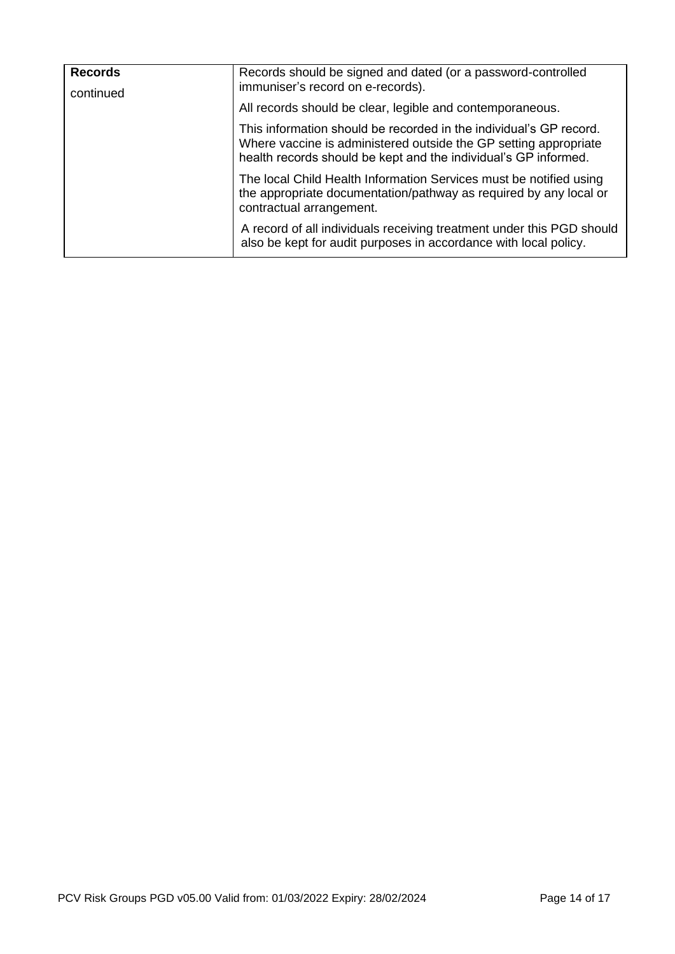| <b>Records</b> | Records should be signed and dated (or a password-controlled<br>immuniser's record on e-records).                                                                                                         |
|----------------|-----------------------------------------------------------------------------------------------------------------------------------------------------------------------------------------------------------|
| continued      | All records should be clear, legible and contemporaneous.                                                                                                                                                 |
|                | This information should be recorded in the individual's GP record.<br>Where vaccine is administered outside the GP setting appropriate<br>health records should be kept and the individual's GP informed. |
|                | The local Child Health Information Services must be notified using<br>the appropriate documentation/pathway as required by any local or<br>contractual arrangement.                                       |
|                | A record of all individuals receiving treatment under this PGD should<br>also be kept for audit purposes in accordance with local policy.                                                                 |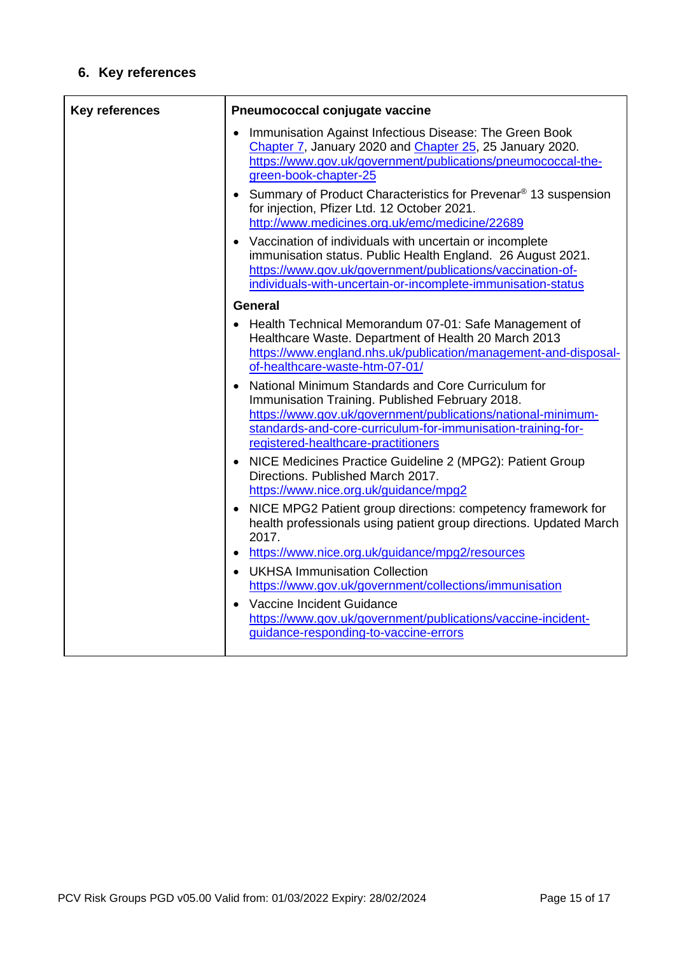# **6. Key references**

| <b>Key references</b> | Pneumococcal conjugate vaccine                                                                                                                                                                                                                                                                                                                                                                                                                                                                                                                                                                                                                      |  |
|-----------------------|-----------------------------------------------------------------------------------------------------------------------------------------------------------------------------------------------------------------------------------------------------------------------------------------------------------------------------------------------------------------------------------------------------------------------------------------------------------------------------------------------------------------------------------------------------------------------------------------------------------------------------------------------------|--|
|                       | Immunisation Against Infectious Disease: The Green Book<br>Chapter 7, January 2020 and Chapter 25, 25 January 2020.<br>https://www.gov.uk/government/publications/pneumococcal-the-<br>green-book-chapter-25<br>Summary of Product Characteristics for Prevenar <sup>®</sup> 13 suspension<br>for injection, Pfizer Ltd. 12 October 2021.<br>http://www.medicines.org.uk/emc/medicine/22689<br>Vaccination of individuals with uncertain or incomplete<br>immunisation status. Public Health England. 26 August 2021.<br>https://www.gov.uk/government/publications/vaccination-of-<br>individuals-with-uncertain-or-incomplete-immunisation-status |  |
|                       | <b>General</b>                                                                                                                                                                                                                                                                                                                                                                                                                                                                                                                                                                                                                                      |  |
|                       | • Health Technical Memorandum 07-01: Safe Management of<br>Healthcare Waste. Department of Health 20 March 2013<br>https://www.england.nhs.uk/publication/management-and-disposal-<br>of-healthcare-waste-htm-07-01/                                                                                                                                                                                                                                                                                                                                                                                                                                |  |
|                       | National Minimum Standards and Core Curriculum for<br>Immunisation Training. Published February 2018.<br>https://www.gov.uk/government/publications/national-minimum-<br>standards-and-core-curriculum-for-immunisation-training-for-<br>registered-healthcare-practitioners                                                                                                                                                                                                                                                                                                                                                                        |  |
|                       | NICE Medicines Practice Guideline 2 (MPG2): Patient Group<br>Directions. Published March 2017.<br>https://www.nice.org.uk/guidance/mpg2                                                                                                                                                                                                                                                                                                                                                                                                                                                                                                             |  |
|                       | NICE MPG2 Patient group directions: competency framework for<br>health professionals using patient group directions. Updated March<br>2017.                                                                                                                                                                                                                                                                                                                                                                                                                                                                                                         |  |
|                       | https://www.nice.org.uk/guidance/mpg2/resources                                                                                                                                                                                                                                                                                                                                                                                                                                                                                                                                                                                                     |  |
|                       | • UKHSA Immunisation Collection<br>https://www.gov.uk/government/collections/immunisation<br>Vaccine Incident Guidance<br>https://www.gov.uk/government/publications/vaccine-incident-<br>guidance-responding-to-vaccine-errors                                                                                                                                                                                                                                                                                                                                                                                                                     |  |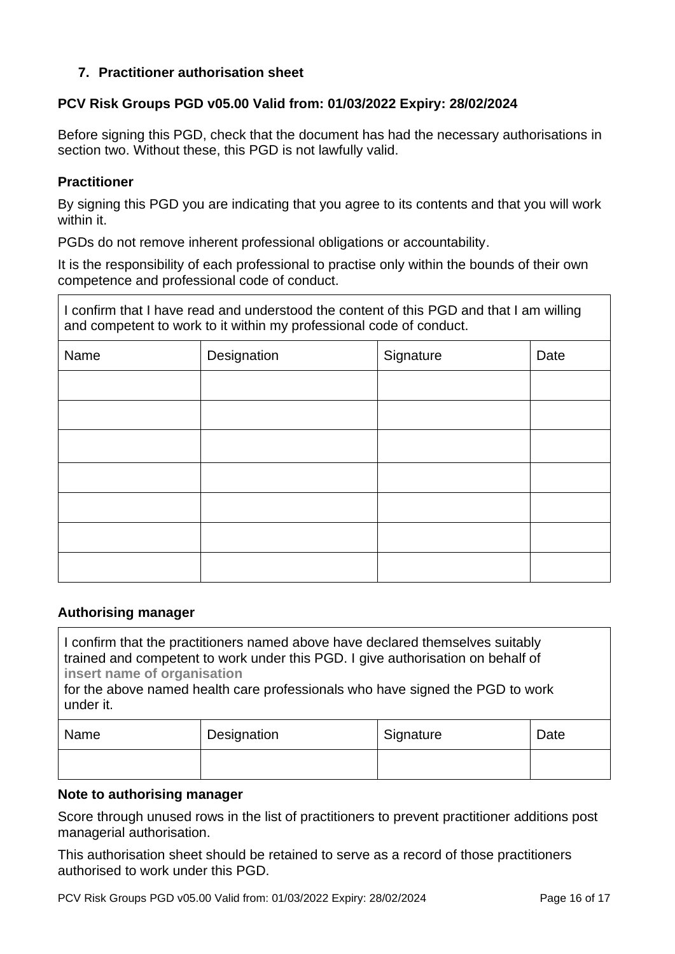### **7. Practitioner authorisation sheet**

### **PCV Risk Groups PGD v05.00 Valid from: 01/03/2022 Expiry: 28/02/2024**

Before signing this PGD, check that the document has had the necessary authorisations in section two. Without these, this PGD is not lawfully valid.

#### **Practitioner**

By signing this PGD you are indicating that you agree to its contents and that you will work within it.

PGDs do not remove inherent professional obligations or accountability.

It is the responsibility of each professional to practise only within the bounds of their own competence and professional code of conduct.

I confirm that I have read and understood the content of this PGD and that I am willing and competent to work to it within my professional code of conduct.

| Name | Designation | Signature | Date |
|------|-------------|-----------|------|
|      |             |           |      |
|      |             |           |      |
|      |             |           |      |
|      |             |           |      |
|      |             |           |      |
|      |             |           |      |
|      |             |           |      |

#### **Authorising manager**

I confirm that the practitioners named above have declared themselves suitably trained and competent to work under this PGD. I give authorisation on behalf of **insert name of organisation** 

for the above named health care professionals who have signed the PGD to work under it.

| Name | Designation | Signature | Date |
|------|-------------|-----------|------|
|      |             |           |      |

#### **Note to authorising manager**

Score through unused rows in the list of practitioners to prevent practitioner additions post managerial authorisation.

This authorisation sheet should be retained to serve as a record of those practitioners authorised to work under this PGD.